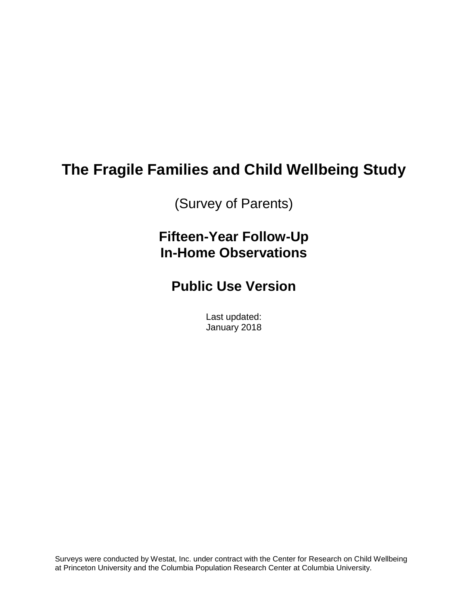# **The Fragile Families and Child Wellbeing Study**

(Survey of Parents)

**Fifteen-Year Follow-Up In-Home Observations**

## **Public Use Version**

Last updated: January 2018

Surveys were conducted by Westat, Inc. under contract with the Center for Research on Child Wellbeing at Princeton University and the Columbia Population Research Center at Columbia University.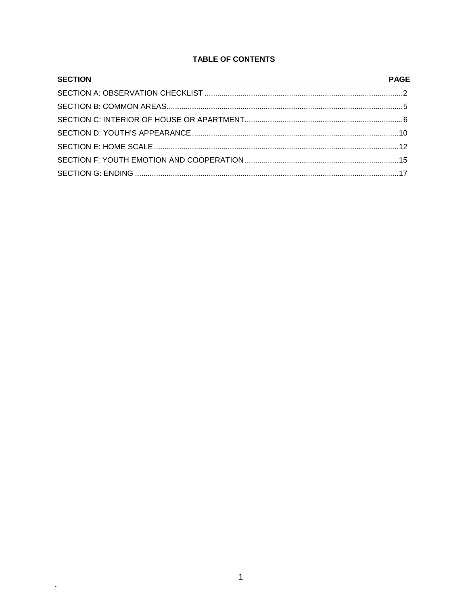#### **TABLE OF CONTENTS**

| <b>SECTION</b> | <b>PAGE</b> |
|----------------|-------------|
|                |             |
|                |             |
|                |             |
|                |             |
|                |             |
|                |             |
|                |             |

 $\mathbb{Z}^{\mathbb{Z}}$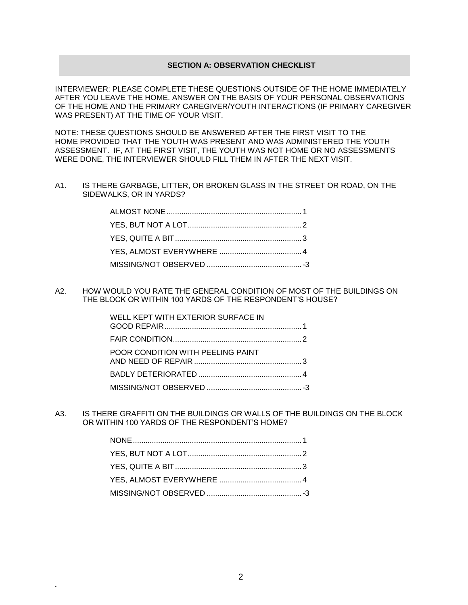#### **SECTION A: OBSERVATION CHECKLIST**

INTERVIEWER: PLEASE COMPLETE THESE QUESTIONS OUTSIDE OF THE HOME IMMEDIATELY AFTER YOU LEAVE THE HOME. ANSWER ON THE BASIS OF YOUR PERSONAL OBSERVATIONS OF THE HOME AND THE PRIMARY CAREGIVER/YOUTH INTERACTIONS (IF PRIMARY CAREGIVER WAS PRESENT) AT THE TIME OF YOUR VISIT.

NOTE: THESE QUESTIONS SHOULD BE ANSWERED AFTER THE FIRST VISIT TO THE HOME PROVIDED THAT THE YOUTH WAS PRESENT AND WAS ADMINISTERED THE YOUTH ASSESSMENT. IF, AT THE FIRST VISIT, THE YOUTH WAS NOT HOME OR NO ASSESSMENTS WERE DONE, THE INTERVIEWER SHOULD FILL THEM IN AFTER THE NEXT VISIT.

A1. IS THERE GARBAGE, LITTER, OR BROKEN GLASS IN THE STREET OR ROAD, ON THE SIDEWALKS, OR IN YARDS?

A2. HOW WOULD YOU RATE THE GENERAL CONDITION OF MOST OF THE BUILDINGS ON THE BLOCK OR WITHIN 100 YARDS OF THE RESPONDENT'S HOUSE?

| WELL KEPT WITH EXTERIOR SURFACE IN |  |
|------------------------------------|--|
|                                    |  |
| POOR CONDITION WITH PEELING PAINT  |  |
|                                    |  |
|                                    |  |

A3. IS THERE GRAFFITI ON THE BUILDINGS OR WALLS OF THE BUILDINGS ON THE BLOCK OR WITHIN 100 YARDS OF THE RESPONDENT'S HOME?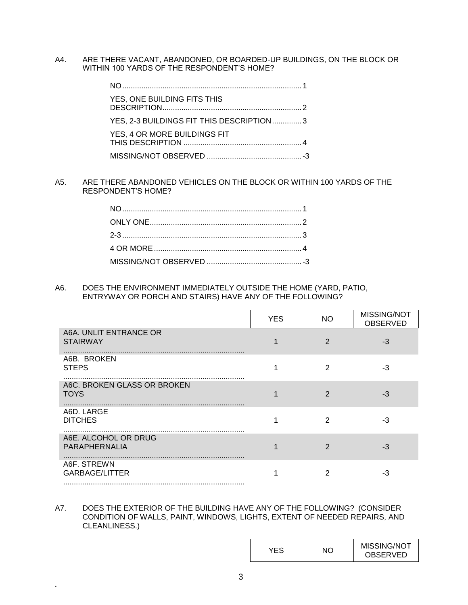A4. ARE THERE VACANT, ABANDONED, OR BOARDED-UP BUILDINGS, ON THE BLOCK OR WITHIN 100 YARDS OF THE RESPONDENT'S HOME?

| YES, ONE BUILDING FITS THIS              |  |
|------------------------------------------|--|
| YES, 2-3 BUILDINGS FIT THIS DESCRIPTION3 |  |
| YES, 4 OR MORE BUILDINGS FIT             |  |
|                                          |  |

A5. ARE THERE ABANDONED VEHICLES ON THE BLOCK OR WITHIN 100 YARDS OF THE RESPONDENT'S HOME?

A6. DOES THE ENVIRONMENT IMMEDIATELY OUTSIDE THE HOME (YARD, PATIO, ENTRYWAY OR PORCH AND STAIRS) HAVE ANY OF THE FOLLOWING?

|                                            | <b>YES</b> | <b>NO</b> | MISSING/NOT<br><b>OBSERVED</b> |
|--------------------------------------------|------------|-----------|--------------------------------|
| A6A. UNLIT ENTRANCE OR<br><b>STAIRWAY</b>  |            | 2         | -3                             |
| A6B. BROKEN<br><b>STEPS</b>                |            | 2         | -3                             |
| A6C. BROKEN GLASS OR BROKEN<br><b>TOYS</b> |            | 2         | -3                             |
| A6D. LARGE<br><b>DITCHES</b>               |            | 2         | -3                             |
| A6E. ALCOHOL OR DRUG<br>PARAPHERNALIA      |            | 2         | -3                             |
| A6F. STREWN<br><b>GARBAGE/LITTER</b>       |            |           | -3                             |

#### A7. DOES THE EXTERIOR OF THE BUILDING HAVE ANY OF THE FOLLOWING? (CONSIDER CONDITION OF WALLS, PAINT, WINDOWS, LIGHTS, EXTENT OF NEEDED REPAIRS, AND CLEANLINESS.)

|  |  | MISSING/NOT<br><b>OBSERVED</b> |
|--|--|--------------------------------|
|--|--|--------------------------------|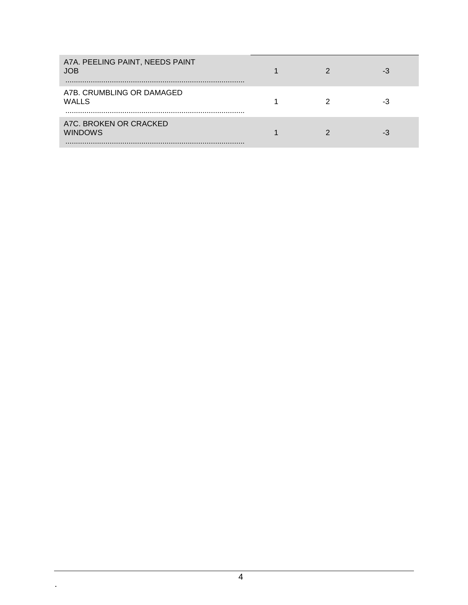| A7A. PEELING PAINT, NEEDS PAINT<br><b>JOB</b> |  | -3 |
|-----------------------------------------------|--|----|
| A7B. CRUMBLING OR DAMAGED<br><b>WALLS</b>     |  | -3 |
| A7C. BROKEN OR CRACKED<br><b>WINDOWS</b>      |  | -3 |

 $\hat{\mathbf{r}}$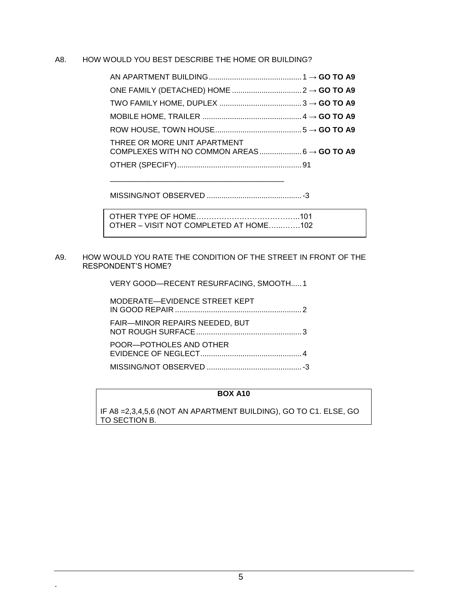#### A8. HOW WOULD YOU BEST DESCRIBE THE HOME OR BUILDING?

| THREE OR MORE UNIT APARTMENT |  |
|------------------------------|--|
|                              |  |
|                              |  |

MISSING/NOT OBSERVED .............................................-3

| OTHER – VISIT NOT COMPLETED AT HOME102 |  |
|----------------------------------------|--|

#### A9. HOW WOULD YOU RATE THE CONDITION OF THE STREET IN FRONT OF THE RESPONDENT'S HOME?

VERY GOOD—RECENT RESURFACING, SMOOTH.....1

| MODERATE-EVIDENCE STREET KEPT         |  |
|---------------------------------------|--|
| <b>FAIR-MINOR REPAIRS NEEDED, BUT</b> |  |
| POOR-POTHOLES AND OTHER               |  |
|                                       |  |

#### **BOX A10**

IF A8 =2,3,4,5,6 (NOT AN APARTMENT BUILDING), GO TO C1. ELSE, GO TO SECTION B.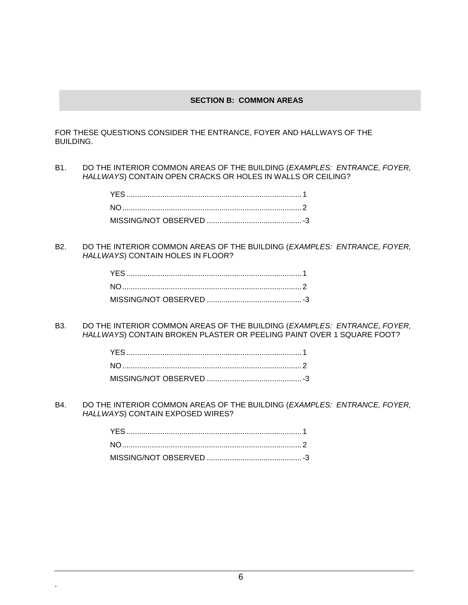#### **SECTION B: COMMON AREAS**

FOR THESE QUESTIONS CONSIDER THE ENTRANCE, FOYER AND HALLWAYS OF THE BUILDING.

B1. DO THE INTERIOR COMMON AREAS OF THE BUILDING (*EXAMPLES: ENTRANCE, FOYER, HALLWAYS*) CONTAIN OPEN CRACKS OR HOLES IN WALLS OR CEILING?

B2. DO THE INTERIOR COMMON AREAS OF THE BUILDING (*EXAMPLES: ENTRANCE, FOYER, HALLWAYS*) CONTAIN HOLES IN FLOOR?

B3. DO THE INTERIOR COMMON AREAS OF THE BUILDING (*EXAMPLES: ENTRANCE, FOYER, HALLWAYS*) CONTAIN BROKEN PLASTER OR PEELING PAINT OVER 1 SQUARE FOOT?

B4. DO THE INTERIOR COMMON AREAS OF THE BUILDING (*EXAMPLES: ENTRANCE, FOYER, HALLWAYS*) CONTAIN EXPOSED WIRES?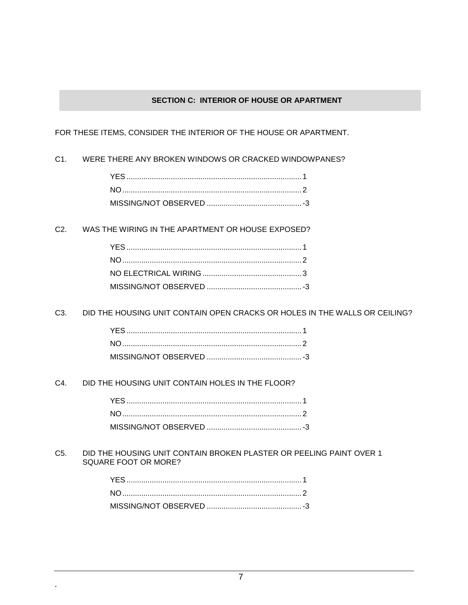#### **SECTION C: INTERIOR OF HOUSE OR APARTMENT**

FOR THESE ITEMS, CONSIDER THE INTERIOR OF THE HOUSE OR APARTMENT.

C1. WERE THERE ANY BROKEN WINDOWS OR CRACKED WINDOWPANES?

C2. WAS THE WIRING IN THE APARTMENT OR HOUSE EXPOSED?

C3. DID THE HOUSING UNIT CONTAIN OPEN CRACKS OR HOLES IN THE WALLS OR CEILING?

C4. DID THE HOUSING UNIT CONTAIN HOLES IN THE FLOOR?

**.**

C5. DID THE HOUSING UNIT CONTAIN BROKEN PLASTER OR PEELING PAINT OVER 1 SQUARE FOOT OR MORE?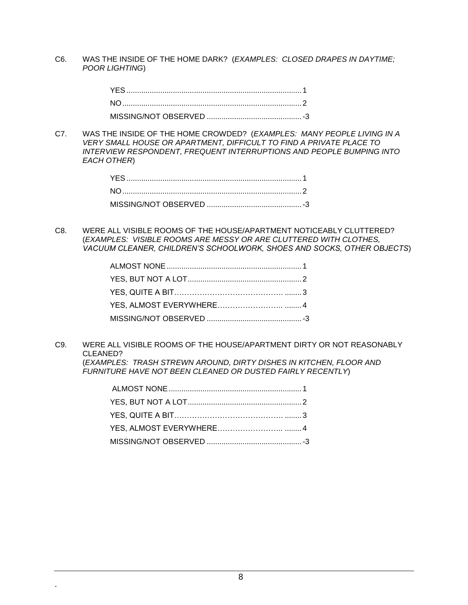C6. WAS THE INSIDE OF THE HOME DARK? (*EXAMPLES: CLOSED DRAPES IN DAYTIME; POOR LIGHTING*)

C7. WAS THE INSIDE OF THE HOME CROWDED? (*EXAMPLES: MANY PEOPLE LIVING IN A VERY SMALL HOUSE OR APARTMENT, DIFFICULT TO FIND A PRIVATE PLACE TO INTERVIEW RESPONDENT, FREQUENT INTERRUPTIONS AND PEOPLE BUMPING INTO EACH OTHER*)

C8. WERE ALL VISIBLE ROOMS OF THE HOUSE/APARTMENT NOTICEABLY CLUTTERED? (*EXAMPLES: VISIBLE ROOMS ARE MESSY OR ARE CLUTTERED WITH CLOTHES, VACUUM CLEANER, CHILDREN'S SCHOOLWORK, SHOES AND SOCKS, OTHER OBJECTS*)

C9. WERE ALL VISIBLE ROOMS OF THE HOUSE/APARTMENT DIRTY OR NOT REASONABLY CLEANED? (*EXAMPLES: TRASH STREWN AROUND, DIRTY DISHES IN KITCHEN, FLOOR AND* 

*FURNITURE HAVE NOT BEEN CLEANED OR DUSTED FAIRLY RECENTLY*)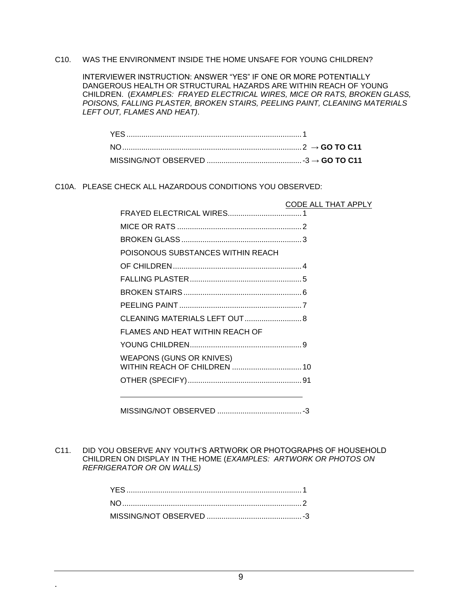#### C10. WAS THE ENVIRONMENT INSIDE THE HOME UNSAFE FOR YOUNG CHILDREN?

INTERVIEWER INSTRUCTION: ANSWER "YES" IF ONE OR MORE POTENTIALLY DANGEROUS HEALTH OR STRUCTURAL HAZARDS ARE WITHIN REACH OF YOUNG CHILDREN. (*EXAMPLES: FRAYED ELECTRICAL WIRES, MICE OR RATS, BROKEN GLASS, POISONS, FALLING PLASTER, BROKEN STAIRS, PEELING PAINT, CLEANING MATERIALS LEFT OUT, FLAMES AND HEAT)*.

#### C10A. PLEASE CHECK ALL HAZARDOUS CONDITIONS YOU OBSERVED:

|                                   | CODE ALL THAT APPLY |
|-----------------------------------|---------------------|
|                                   |                     |
|                                   |                     |
|                                   |                     |
| POISONOUS SUBSTANCES WITHIN REACH |                     |
|                                   |                     |
|                                   |                     |
|                                   |                     |
|                                   |                     |
| CLEANING MATERIALS LEFT OUT 8     |                     |
| FLAMES AND HEAT WITHIN REACH OF   |                     |
|                                   |                     |
| <b>WEAPONS (GUNS OR KNIVES)</b>   |                     |
|                                   |                     |
|                                   |                     |

MISSING/NOT OBSERVED ........................................-3

C11. DID YOU OBSERVE ANY YOUTH'S ARTWORK OR PHOTOGRAPHS OF HOUSEHOLD CHILDREN ON DISPLAY IN THE HOME (*EXAMPLES: ARTWORK OR PHOTOS ON REFRIGERATOR OR ON WALLS)*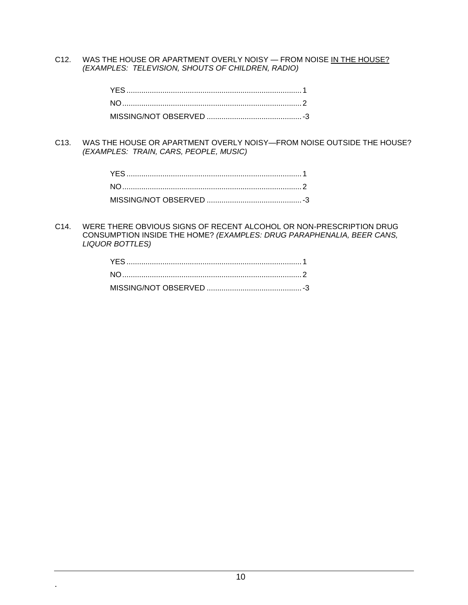C12. WAS THE HOUSE OR APARTMENT OVERLY NOISY - FROM NOISE IN THE HOUSE? *(EXAMPLES: TELEVISION, SHOUTS OF CHILDREN, RADIO)*

C13. WAS THE HOUSE OR APARTMENT OVERLY NOISY—FROM NOISE OUTSIDE THE HOUSE? *(EXAMPLES: TRAIN, CARS, PEOPLE, MUSIC)*

C14. WERE THERE OBVIOUS SIGNS OF RECENT ALCOHOL OR NON-PRESCRIPTION DRUG CONSUMPTION INSIDE THE HOME? *(EXAMPLES: DRUG PARAPHENALIA, BEER CANS, LIQUOR BOTTLES)*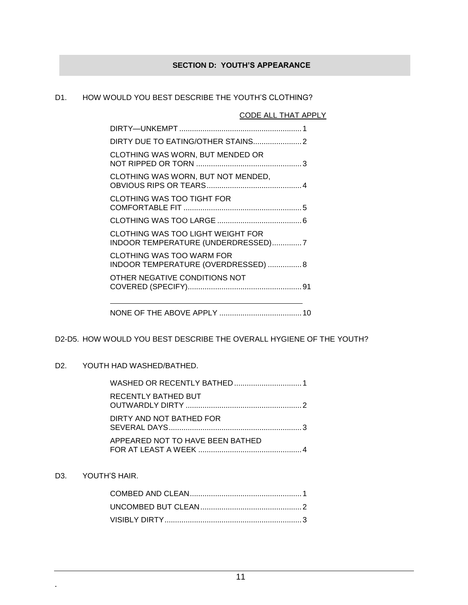### **SECTION D: YOUTH'S APPEARANCE**

#### D1. HOW WOULD YOU BEST DESCRIBE THE YOUTH'S CLOTHING?

#### CODE ALL THAT APPLY

| CLOTHING WAS WORN, BUT MENDED OR                                        |  |
|-------------------------------------------------------------------------|--|
| CLOTHING WAS WORN, BUT NOT MENDED,                                      |  |
| <b>CLOTHING WAS TOO TIGHT FOR</b>                                       |  |
|                                                                         |  |
| CLOTHING WAS TOO LIGHT WEIGHT FOR<br>INDOOR TEMPERATURE (UNDERDRESSED)7 |  |
| CLOTHING WAS TOO WARM FOR<br>INDOOR TEMPERATURE (OVERDRESSED)  8        |  |
| OTHER NEGATIVE CONDITIONS NOT                                           |  |
|                                                                         |  |

#### D2-D5. HOW WOULD YOU BEST DESCRIBE THE OVERALL HYGIENE OF THE YOUTH?

#### D2. YOUTH HAD WASHED/BATHED.

| <b>RECENTLY BATHED BUT</b>       |  |
|----------------------------------|--|
| DIRTY AND NOT BATHED FOR         |  |
| APPEARED NOT TO HAVE BEEN BATHED |  |

## D3. YOUTH'S HAIR.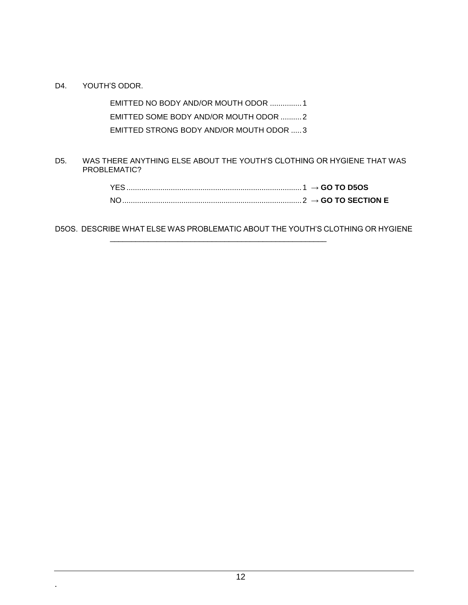D4. YOUTH'S ODOR.

**.**

EMITTED NO BODY AND/OR MOUTH ODOR ...............1 EMITTED SOME BODY AND/OR MOUTH ODOR ..........2 EMITTED STRONG BODY AND/OR MOUTH ODOR .....3

D5. WAS THERE ANYTHING ELSE ABOUT THE YOUTH'S CLOTHING OR HYGIENE THAT WAS PROBLEMATIC?

| <b>YES</b> |  |
|------------|--|
| NO.        |  |

D5OS. DESCRIBE WHAT ELSE WAS PROBLEMATIC ABOUT THE YOUTH'S CLOTHING OR HYGIENE

\_\_\_\_\_\_\_\_\_\_\_\_\_\_\_\_\_\_\_\_\_\_\_\_\_\_\_\_\_\_\_\_\_\_\_\_\_\_\_\_\_\_\_\_\_\_\_\_\_\_\_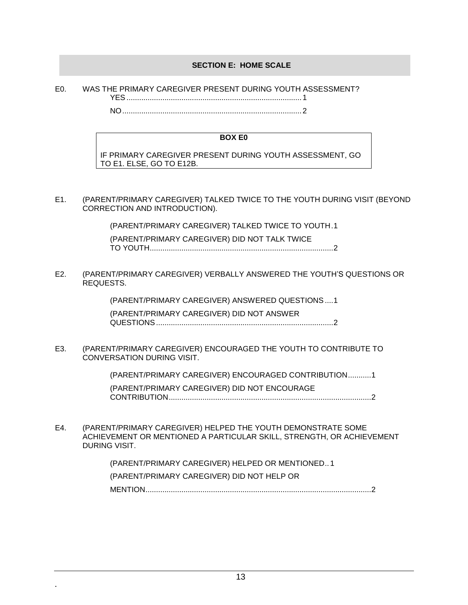#### **SECTION E: HOME SCALE**

| E <sub>0</sub> |     | WAS THE PRIMARY CAREGIVER PRESENT DURING YOUTH ASSESSMENT? |
|----------------|-----|------------------------------------------------------------|
|                | VEQ | $\blacksquare$                                             |

NO.....................................................................................2

#### **BOX E0**

IF PRIMARY CAREGIVER PRESENT DURING YOUTH ASSESSMENT, GO TO E1. ELSE, GO TO E12B.

E1. (PARENT/PRIMARY CAREGIVER) TALKED TWICE TO THE YOUTH DURING VISIT (BEYOND CORRECTION AND INTRODUCTION).

> (PARENT/PRIMARY CAREGIVER) TALKED TWICE TO YOUTH.1 (PARENT/PRIMARY CAREGIVER) DID NOT TALK TWICE TO YOUTH.......................................................................................2

E2. (PARENT/PRIMARY CAREGIVER) VERBALLY ANSWERED THE YOUTH'S QUESTIONS OR REQUESTS.

> (PARENT/PRIMARY CAREGIVER) ANSWERED QUESTIONS....1 (PARENT/PRIMARY CAREGIVER) DID NOT ANSWER QUESTIONS....................................................................................2

E3. (PARENT/PRIMARY CAREGIVER) ENCOURAGED THE YOUTH TO CONTRIBUTE TO CONVERSATION DURING VISIT.

(PARENT/PRIMARY CAREGIVER) ENCOURAGED CONTRIBUTION...........1

(PARENT/PRIMARY CAREGIVER) DID NOT ENCOURAGE CONTRIBUTION................................................................................................2

E4. (PARENT/PRIMARY CAREGIVER) HELPED THE YOUTH DEMONSTRATE SOME ACHIEVEMENT OR MENTIONED A PARTICULAR SKILL, STRENGTH, OR ACHIEVEMENT DURING VISIT.

> (PARENT/PRIMARY CAREGIVER) HELPED OR MENTIONED.. 1 (PARENT/PRIMARY CAREGIVER) DID NOT HELP OR MENTION...........................................................................................................2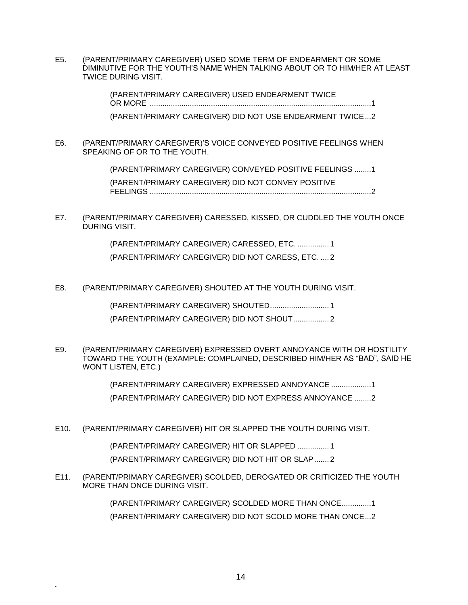E5. (PARENT/PRIMARY CAREGIVER) USED SOME TERM OF ENDEARMENT OR SOME DIMINUTIVE FOR THE YOUTH'S NAME WHEN TALKING ABOUT OR TO HIM/HER AT LEAST TWICE DURING VISIT.

> (PARENT/PRIMARY CAREGIVER) USED ENDEARMENT TWICE OR MORE .........................................................................................................1 (PARENT/PRIMARY CAREGIVER) DID NOT USE ENDEARMENT TWICE...2

E6. (PARENT/PRIMARY CAREGIVER)'S VOICE CONVEYED POSITIVE FEELINGS WHEN SPEAKING OF OR TO THE YOUTH.

> (PARENT/PRIMARY CAREGIVER) CONVEYED POSITIVE FEELINGS ........1 (PARENT/PRIMARY CAREGIVER) DID NOT CONVEY POSITIVE FEELINGS .........................................................................................................2

E7. (PARENT/PRIMARY CAREGIVER) CARESSED, KISSED, OR CUDDLED THE YOUTH ONCE DURING VISIT.

> (PARENT/PRIMARY CAREGIVER) CARESSED, ETC. ............... 1 (PARENT/PRIMARY CAREGIVER) DID NOT CARESS, ETC. .... 2

E8. (PARENT/PRIMARY CAREGIVER) SHOUTED AT THE YOUTH DURING VISIT.

(PARENT/PRIMARY CAREGIVER) SHOUTED............................ 1 (PARENT/PRIMARY CAREGIVER) DID NOT SHOUT................. 2

E9. (PARENT/PRIMARY CAREGIVER) EXPRESSED OVERT ANNOYANCE WITH OR HOSTILITY TOWARD THE YOUTH (EXAMPLE: COMPLAINED, DESCRIBED HIM/HER AS "BAD", SAID HE WON'T LISTEN, ETC.)

> (PARENT/PRIMARY CAREGIVER) EXPRESSED ANNOYANCE ...................1 (PARENT/PRIMARY CAREGIVER) DID NOT EXPRESS ANNOYANCE ........2

E10. (PARENT/PRIMARY CAREGIVER) HIT OR SLAPPED THE YOUTH DURING VISIT.

(PARENT/PRIMARY CAREGIVER) HIT OR SLAPPED ............... 1

(PARENT/PRIMARY CAREGIVER) DID NOT HIT OR SLAP....... 2

E11. (PARENT/PRIMARY CAREGIVER) SCOLDED, DEROGATED OR CRITICIZED THE YOUTH MORE THAN ONCE DURING VISIT.

> (PARENT/PRIMARY CAREGIVER) SCOLDED MORE THAN ONCE..............1 (PARENT/PRIMARY CAREGIVER) DID NOT SCOLD MORE THAN ONCE...2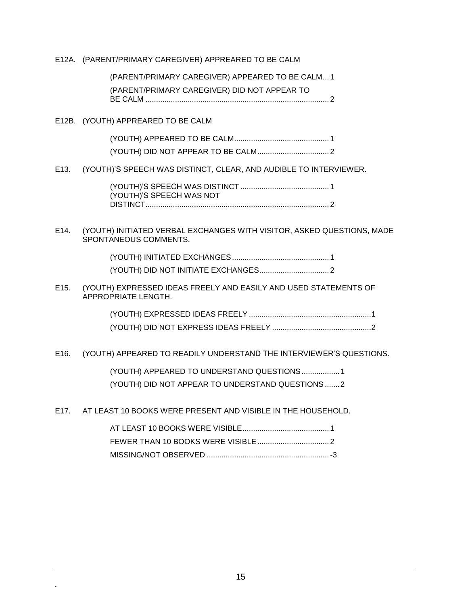#### E12A. (PARENT/PRIMARY CAREGIVER) APPREARED TO BE CALM

## (PARENT/PRIMARY CAREGIVER) APPEARED TO BE CALM... 1

(PARENT/PRIMARY CAREGIVER) DID NOT APPEAR TO

BE CALM ....................................................................................... 2

#### E12B. (YOUTH) APPREARED TO BE CALM

**.**

(YOUTH) APPEARED TO BE CALM............................................. 1 (YOUTH) DID NOT APPEAR TO BE CALM.................................. 2

#### E13. (YOUTH)'S SPEECH WAS DISTINCT, CLEAR, AND AUDIBLE TO INTERVIEWER.

(YOUTH)'S SPEECH WAS DISTINCT .......................................... 1 (YOUTH)'S SPEECH WAS NOT DISTINCT....................................................................................... 2

#### E14. (YOUTH) INITIATED VERBAL EXCHANGES WITH VISITOR, ASKED QUESTIONS, MADE SPONTANEOUS COMMENTS.

(YOUTH) INITIATED EXCHANGES.............................................. 1 (YOUTH) DID NOT INITIATE EXCHANGES................................. 2

#### E15. (YOUTH) EXPRESSED IDEAS FREELY AND EASILY AND USED STATEMENTS OF APPROPRIATE LENGTH.

#### E16. (YOUTH) APPEARED TO READILY UNDERSTAND THE INTERVIEWER'S QUESTIONS.

(YOUTH) APPEARED TO UNDERSTAND QUESTIONS..................1 (YOUTH) DID NOT APPEAR TO UNDERSTAND QUESTIONS.......2

E17. AT LEAST 10 BOOKS WERE PRESENT AND VISIBLE IN THE HOUSEHOLD.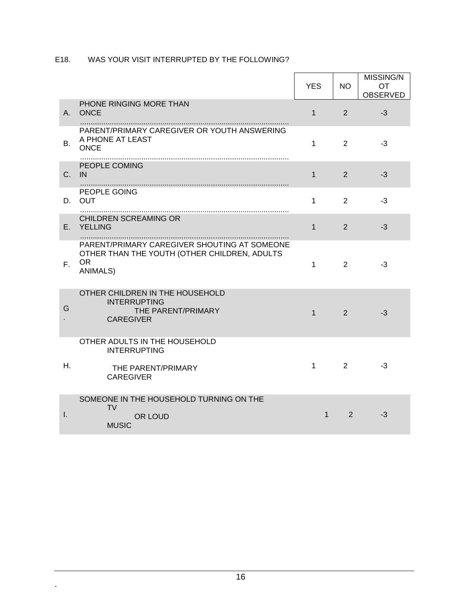## E18. WAS YOUR VISIT INTERRUPTED BY THE FOLLOWING?

|              |                                                                                                                              | <b>YES</b>   | <b>NO</b> | MISSING/N<br>OT.<br><b>OBSERVED</b> |
|--------------|------------------------------------------------------------------------------------------------------------------------------|--------------|-----------|-------------------------------------|
| A.           | PHONE RINGING MORE THAN<br><b>ONCE</b>                                                                                       | $\mathbf{1}$ | 2         | $-3$                                |
| В.           | PARENT/PRIMARY CAREGIVER OR YOUTH ANSWERING<br>A PHONE AT LEAST<br><b>ONCE</b>                                               | 1            | 2         | $-3$                                |
| C.           | PEOPLE COMING<br>IN.                                                                                                         | $\mathbf{1}$ | 2         | $-3$                                |
| D.           | PEOPLE GOING<br><b>OUT</b>                                                                                                   | 1            | 2         | $-3$                                |
| Е.           | <b>CHILDREN SCREAMING OR</b><br><b>YELLING</b>                                                                               | $\mathbf{1}$ | 2         | $-3$                                |
| $F_{\rm{H}}$ | PARENT/PRIMARY CAREGIVER SHOUTING AT SOMEONE<br>OTHER THAN THE YOUTH (OTHER CHILDREN, ADULTS<br><b>OR</b><br><b>ANIMALS)</b> | 1            | 2         | $-3$                                |
| G            | OTHER CHILDREN IN THE HOUSEHOLD<br><b>INTERRUPTING</b><br>THE PARENT/PRIMARY<br><b>CAREGIVER</b>                             | $\mathbf{1}$ | 2         | $-3$                                |
|              | OTHER ADULTS IN THE HOUSEHOLD<br><b>INTERRUPTING</b>                                                                         |              |           |                                     |
| Н.           | THE PARENT/PRIMARY<br><b>CAREGIVER</b>                                                                                       | 1            | 2         | -3                                  |
| $\mathbf{L}$ | SOMEONE IN THE HOUSEHOLD TURNING ON THE<br><b>TV</b><br>OR LOUD<br><b>MUSIC</b>                                              | 1            | 2         | -3                                  |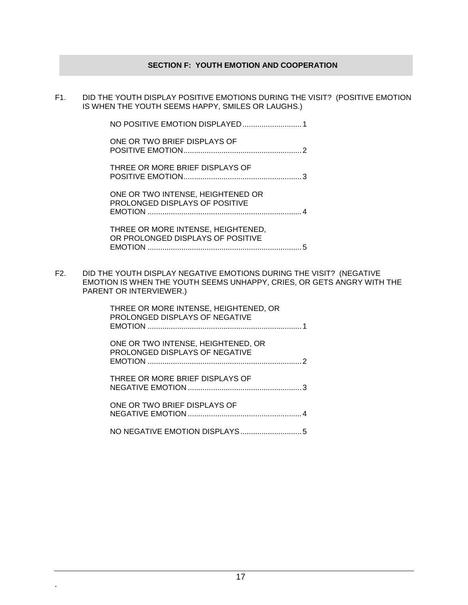#### **SECTION F: YOUTH EMOTION AND COOPERATION**

F1. DID THE YOUTH DISPLAY POSITIVE EMOTIONS DURING THE VISIT? (POSITIVE EMOTION IS WHEN THE YOUTH SEEMS HAPPY, SMILES OR LAUGHS.)

| ONE OR TWO BRIEF DISPLAYS OF                                            |  |
|-------------------------------------------------------------------------|--|
| THREE OR MORE BRIEF DISPLAYS OF                                         |  |
| ONE OR TWO INTENSE, HEIGHTENED OR<br>PROLONGED DISPLAYS OF POSITIVE     |  |
| THREE OR MORE INTENSE, HEIGHTENED,<br>OR PROLONGED DISPLAYS OF POSITIVE |  |

EMOTION .........................................................................5

F2. DID THE YOUTH DISPLAY NEGATIVE EMOTIONS DURING THE VISIT? (NEGATIVE EMOTION IS WHEN THE YOUTH SEEMS UNHAPPY, CRIES, OR GETS ANGRY WITH THE PARENT OR INTERVIEWER.)

> THREE OR MORE INTENSE, HEIGHTENED, OR PROLONGED DISPLAYS OF NEGATIVE EMOTION .........................................................................1 ONE OR TWO INTENSE, HEIGHTENED, OR PROLONGED DISPLAYS OF NEGATIVE EMOTION .........................................................................2 THREE OR MORE BRIEF DISPLAYS OF NEGATIVE EMOTION ......................................................3 ONE OR TWO BRIEF DISPLAYS OF NEGATIVE EMOTION ......................................................4 NO NEGATIVE EMOTION DISPLAYS.............................5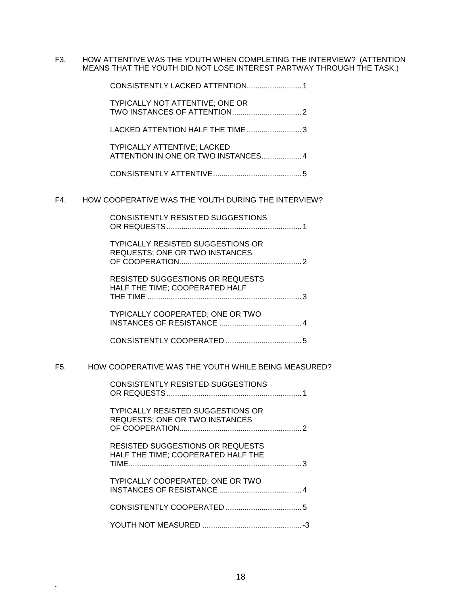F3. HOW ATTENTIVE WAS THE YOUTH WHEN COMPLETING THE INTERVIEW? (ATTENTION MEANS THAT THE YOUTH DID NOT LOSE INTEREST PARTWAY THROUGH THE TASK.)

|     | CONSISTENTLY LACKED ATTENTION 1                                                   |
|-----|-----------------------------------------------------------------------------------|
|     | <b>TYPICALLY NOT ATTENTIVE; ONE OR</b>                                            |
|     | LACKED ATTENTION HALF THE TIME  3                                                 |
|     | <b>TYPICALLY ATTENTIVE; LACKED</b><br>ATTENTION IN ONE OR TWO INSTANCES 4         |
|     |                                                                                   |
| F4. | HOW COOPERATIVE WAS THE YOUTH DURING THE INTERVIEW?                               |
|     | <b>CONSISTENTLY RESISTED SUGGESTIONS</b>                                          |
|     | <b>TYPICALLY RESISTED SUGGESTIONS OR</b><br>REQUESTS; ONE OR TWO INSTANCES        |
|     | <b>RESISTED SUGGESTIONS OR REQUESTS</b><br>HALF THE TIME; COOPERATED HALF         |
|     | TYPICALLY COOPERATED; ONE OR TWO                                                  |
|     |                                                                                   |
| F5. | HOW COOPERATIVE WAS THE YOUTH WHILE BEING MEASURED?                               |
|     | <b>CONSISTENTLY RESISTED SUGGESTIONS</b>                                          |
|     | <b>TYPICALLY RESISTED SUGGESTIONS OR</b><br><b>REQUESTS: ONE OR TWO INSTANCES</b> |
|     | <b>RESISTED SUGGESTIONS OR REQUESTS</b><br>HALF THE TIME; COOPERATED HALF THE     |
|     | TYPICALLY COOPERATED; ONE OR TWO                                                  |
|     |                                                                                   |
|     |                                                                                   |
|     |                                                                                   |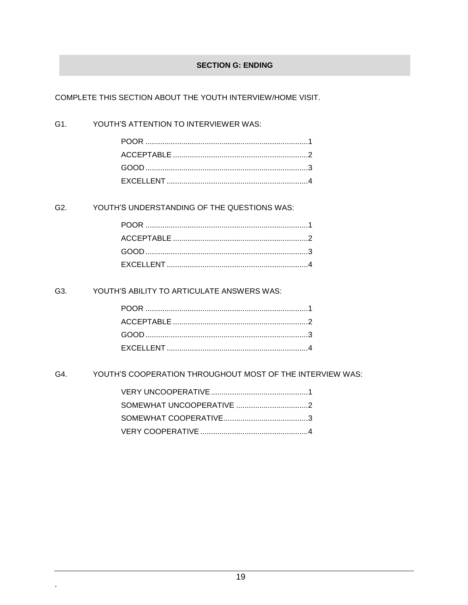#### **SECTION G: ENDING**

COMPLETE THIS SECTION ABOUT THE YOUTH INTERVIEW/HOME VISIT.

#### G1. YOUTH'S ATTENTION TO INTERVIEWER WAS:

#### G2. YOUTH'S UNDERSTANDING OF THE QUESTIONS WAS:

#### G3. YOUTH'S ABILITY TO ARTICULATE ANSWERS WAS:

#### G4. YOUTH'S COOPERATION THROUGHOUT MOST OF THE INTERVIEW WAS: